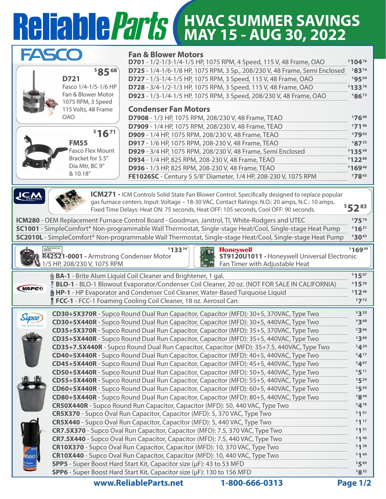## **HVAC SUMMER SAVINGS MAY 15 - AUG 30, 2022**

| FASCO                                                                            | <b>Fan &amp; Blower Motors</b>                                                                                                                 |                    |  |  |
|----------------------------------------------------------------------------------|------------------------------------------------------------------------------------------------------------------------------------------------|--------------------|--|--|
|                                                                                  | D701 - 1/2-1/3-1/4-1/5 HP, 1075 RPM, 4 Speed, 115 V, 48 Frame, OAO                                                                             | \$10476            |  |  |
| \$8568                                                                           | D725 - 1/4-1/6-1/8 HP, 1075 RPM, 3 Sp., 208/230 V, 48 Frame, Semi Enclosed                                                                     | \$8374             |  |  |
| D721                                                                             | D727 - 1/3-1/4-1/5 HP, 1075 RPM, 3 Speed, 115 V, 48 Frame, OAO                                                                                 | \$9504             |  |  |
| Fasco 1/4-1/5-1/6 HP<br>Fan & Blower Motor                                       | D728 - 3/4-1/2-1/3 HP, 1075 RPM, 3 Speed, 115 V, 48 Frame, OAO                                                                                 | \$13376            |  |  |
| 1075 RPM, 3 Speed                                                                | D923 - 1/3-1/4-1/5 HP, 1075 RPM, 3 Speed, 208/230 V, 48 Frame, OAO                                                                             | \$8673             |  |  |
| 115 Volts, 48 Frame                                                              | <b>Condenser Fan Motors</b>                                                                                                                    |                    |  |  |
| <b>OAO</b>                                                                       | D7908 - 1/3 HP, 1075 RPM, 208/230 V, 48 Frame, TEAO                                                                                            | \$7699             |  |  |
|                                                                                  | D7909 - 1/4 HP, 1075 RPM, 208/230 V, 48 Frame, TEAO                                                                                            | \$71 96            |  |  |
| \$1671                                                                           | D909 - 1/4 HP, 1075 RPM, 208/230 V, 48 Frame, TEAO                                                                                             | \$7902             |  |  |
| <b>FM55</b>                                                                      | D917 - 1/6 HP, 1075 RPM, 208-230 V, 48 Frame, TEAO                                                                                             | \$8723             |  |  |
| Fasco Flex Mount                                                                 | D929 - 3/4 HP, 1075 RPM, 208/230 V, 48 Frame, Semi Enclosed                                                                                    | \$13549            |  |  |
| Bracket for 5.5"                                                                 | D934 - 1/4 HP, 825 RPM, 208-230 V, 48 Frame, TEAO                                                                                              | \$12288            |  |  |
| Dia Mtr, BC 9"                                                                   | D936 - 1/3 HP, 825 RPM, 208-230 V, 48 Frame, TEAO                                                                                              | \$16946            |  |  |
| & 10.18"                                                                         | FE1026SC - Century 5 5/8" Diameter, 1/4 HP, 208-230 V, 1075 RPM                                                                                | \$7863             |  |  |
|                                                                                  | <b>ICM271</b> - ICM Controls Solid State Fan Blower Control. Specifically designed to replace popular                                          |                    |  |  |
|                                                                                  | gas furnace centers. Input: Voltage - 18-30 VAC, Contact Ratings: N.O.: 20 amps, N.C.: 10 amps,                                                |                    |  |  |
|                                                                                  | Fixed Time Delays: Heat ON: 75 seconds, Heat OFF: 105 seconds, Cool OFF: 90 seconds.                                                           | $$52^{83}$         |  |  |
|                                                                                  | ICM280 - OEM Replacement Furnace Control Board - Goodman, Janitrol, Tl, White-Rodgers and UTEC                                                 | \$7516             |  |  |
|                                                                                  | SC1001 - SimpleComfort® Non-programmable Wall Thermostat, Single-stage Heat/Cool, Single-stage Heat Pump                                       | \$1631             |  |  |
|                                                                                  | SC2010L - SimpleComfort® Non-programmable Wall Thermostat, Single-stage Heat/Cool, Single-stage Heat Pump                                      | \$3063             |  |  |
|                                                                                  |                                                                                                                                                |                    |  |  |
| <b>ARMSTRO</b><br>R42521-0001 - Armstrong Condenser Motor                        | \$13334<br><b>Honeywell</b><br>ST9120U1011 - Honeywell Universal Electronic                                                                    | \$16909            |  |  |
| 1/5 HP, 208/230 V, 1075 RPM<br>Fan Timer with Adjustable Heat<br><b>Reserved</b> |                                                                                                                                                |                    |  |  |
|                                                                                  |                                                                                                                                                |                    |  |  |
|                                                                                  | <b>BA-1</b> - Brite Alum Liquid Coil Cleaner and Brightener, 1 gal.                                                                            | \$1507             |  |  |
|                                                                                  | BLO-1 - BLO-1 Blowout Evaporator/Condenser Coil Cleaner, 20 oz. (NOT FOR SALE IN CALIFORNIA)                                                   | \$1529             |  |  |
| <b>VAPC®</b>                                                                     | HP-1 - HP Evaporator and Condenser Coil Cleaner, Water-Based Turquoise Liquid                                                                  | $$12^{46}$         |  |  |
|                                                                                  | FCC-1 - FCC-1 Foaming Cooling Coil Cleaner, 18 oz. Aerosol Can                                                                                 | $\frac{1}{2}72$    |  |  |
|                                                                                  | CD30+5X370R - Supco Round Dual Run Capacitor, Capacitor (MFD): 30+5, 370VAC, Type Two                                                          | \$335              |  |  |
| Supco                                                                            | CD30+5X440R - Supco Round Dual Run Capacitor, Capacitor (MFD): 30+5, 440VAC, Type Two                                                          | $$3^{69}$          |  |  |
|                                                                                  | CD35+5X370R - Supco Round Dual Run Capacitor, Capacitor (MFD): 35+5, 370VAC, Type Two                                                          | $$3^{66}$          |  |  |
|                                                                                  | CD35+5X440R - Supco Round Dual Run Capacitor, Capacitor (MFD): 35+5, 440VAC, Type Two                                                          | \$389              |  |  |
|                                                                                  | CD35+7.5X440R - Supco Round Dual Run Capacitor, Capacitor (MFD): 35+7.5, 440VAC, Type Two                                                      | $$4^{24}$          |  |  |
|                                                                                  | CD40+5X440R - Supco Round Dual Run Capacitor, Capacitor (MFD): 40+5, 440VAC, Type Two                                                          | \$417              |  |  |
|                                                                                  | CD45+5X440R - Supco Round Dual Run Capacitor, Capacitor (MFD): 45+5, 440VAC, Type Two                                                          | $$4^{67}$          |  |  |
|                                                                                  | CD50+5X440R - Supco Round Dual Run Capacitor, Capacitor (MFD): 50+5, 440VAC, Type Two                                                          | \$511              |  |  |
|                                                                                  | CD55+5X440R - Supco Round Dual Run Capacitor, Capacitor (MFD): 55+5, 440VAC, Type Two                                                          | $$5^{24}$          |  |  |
|                                                                                  | CD60+5X440R - Supco Round Dual Run Capacitor, Capacitor (MFD): 60+5, 440VAC, Type Two                                                          | \$543              |  |  |
|                                                                                  | CD80+5X440R - Supco Round Dual Run Capacitor, Capacitor (MFD): 80+5, 440VAC, Type Two                                                          | $$8^{44}$          |  |  |
|                                                                                  | CR50X440R - Supco Round Run Capacitor, Capacitor (MFD): 50, 440 VAC, Type Two                                                                  | \$476              |  |  |
|                                                                                  | CR5X370 - Supco Oval Run Capacitor, Capacitor (MFD): 5, 370 VAC, Type Two                                                                      | \$101              |  |  |
|                                                                                  | CR5X440 - Supco Oval Run Capacitor, Capacitor (MFD): 5, 440 VAC, Type Two                                                                      | \$117              |  |  |
|                                                                                  | CR7.5X370 - Supco Oval Run Capacitor, Capacitor (MFD): 7.5, 370 VAC, Type Two                                                                  | \$131              |  |  |
|                                                                                  | CR7.5X440 - Supco Oval Run Capacitor, Capacitor (MFD): 7.5, 440 VAC, Type Two                                                                  | \$146              |  |  |
|                                                                                  | CR10X370 - Supco Oval Run Capacitor, Capacitor (MFD): 10, 370 VAC, Type Two                                                                    | \$139              |  |  |
| BOOST                                                                            | CR10X440 - Supco Oval Run Capacitor, Capacitor (MFD): 10, 440 VAC, Type Two                                                                    | \$164              |  |  |
|                                                                                  | SPP5 - Super Boost Hard Start Kit, Capacitor size (µF): 43 to 53 MFD<br>SPP6 - Super Boost Hard Start Kit, Capacitor size (µF): 130 to 156 MFD | \$585<br>$$8^{32}$ |  |  |